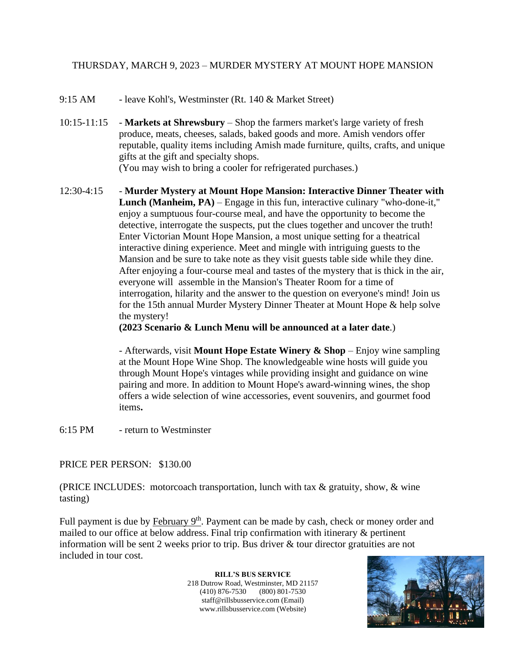## THURSDAY, MARCH 9, 2023 – MURDER MYSTERY AT MOUNT HOPE MANSION

- 9:15 AM leave Kohl's, Westminster (Rt. 140 & Market Street)
- 10:15-11:15 **Markets at Shrewsbury** Shop the farmers market's large variety of fresh produce, meats, cheeses, salads, baked goods and more. Amish vendors offer reputable, quality items including Amish made furniture, quilts, crafts, and unique gifts at the gift and specialty shops.

(You may wish to bring a cooler for refrigerated purchases.)

12:30-4:15 - **Murder Mystery at Mount Hope Mansion: Interactive Dinner Theater with Lunch (Manheim, PA)** – Engage in this fun, interactive culinary "who-done-it," enjoy a sumptuous four-course meal, and have the opportunity to become the detective, interrogate the suspects, put the clues together and uncover the truth! Enter Victorian Mount Hope Mansion, a most unique setting for a theatrical interactive dining experience. Meet and mingle with intriguing guests to the Mansion and be sure to take note as they visit guests table side while they dine. After enjoying a four-course meal and tastes of the mystery that is thick in the air, everyone will assemble in the Mansion's Theater Room for a time of interrogation, hilarity and the answer to the question on everyone's mind! Join us for the 15th annual Murder Mystery Dinner Theater at Mount Hope & help solve the mystery!

**(2023 Scenario & Lunch Menu will be announced at a later date**.)

- Afterwards, visit **Mount Hope Estate Winery & Shop** – Enjoy wine sampling at the Mount Hope Wine Shop. The knowledgeable wine hosts will guide you through Mount Hope's vintages while providing insight and guidance on wine pairing and more. In addition to Mount Hope's award-winning wines, the shop offers a wide selection of wine accessories, event souvenirs, and gourmet food items**.** 

6:15 PM - return to Westminster

## PRICE PER PERSON: \$130.00

(PRICE INCLUDES: motorcoach transportation, lunch with tax & gratuity, show, & wine tasting)

Full payment is due by February 9<sup>th</sup>. Payment can be made by cash, check or money order and mailed to our office at below address. Final trip confirmation with itinerary & pertinent information will be sent 2 weeks prior to trip. Bus driver & tour director gratuities are not included in tour cost.

> **RILL'S BUS SERVICE** 218 Dutrow Road, Westminster, MD 21157 (410) 876-7530 (800) 801-7530 staff@rillsbusservice.com (Email) www.rillsbusservice.com (Website)